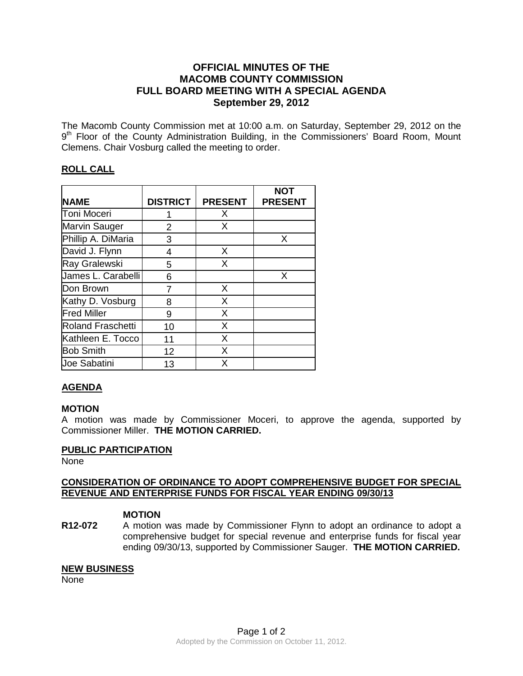# **OFFICIAL MINUTES OF THE MACOMB COUNTY COMMISSION FULL BOARD MEETING WITH A SPECIAL AGENDA September 29, 2012**

The Macomb County Commission met at 10:00 a.m. on Saturday, September 29, 2012 on the 9<sup>th</sup> Floor of the County Administration Building, in the Commissioners' Board Room, Mount Clemens. Chair Vosburg called the meeting to order.

# **ROLL CALL**

|                          |                 |                | <b>NOT</b>     |
|--------------------------|-----------------|----------------|----------------|
| <b>NAME</b>              | <b>DISTRICT</b> | <b>PRESENT</b> | <b>PRESENT</b> |
| Toni Moceri              |                 | Х              |                |
| Marvin Sauger            | 2               | X              |                |
| Phillip A. DiMaria       | 3               |                | X              |
| David J. Flynn           | 4               | X              |                |
| Ray Gralewski            | 5               | X              |                |
| James L. Carabelli       | 6               |                | X              |
| Don Brown                | 7               | X              |                |
| Kathy D. Vosburg         | 8               | X              |                |
| <b>Fred Miller</b>       | 9               | X              |                |
| <b>Roland Fraschetti</b> | 10              | X              |                |
| Kathleen E. Tocco        | 11              | X              |                |
| <b>Bob Smith</b>         | 12              | X              |                |
| <b>Joe Sabatini</b>      | 13              | Χ              |                |

# **AGENDA**

## **MOTION**

A motion was made by Commissioner Moceri, to approve the agenda, supported by Commissioner Miller. **THE MOTION CARRIED.** 

#### **PUBLIC PARTICIPATION**

None

### **CONSIDERATION OF ORDINANCE TO ADOPT COMPREHENSIVE BUDGET FOR SPECIAL REVENUE AND ENTERPRISE FUNDS FOR FISCAL YEAR ENDING 09/30/13**

## **MOTION**

**R12-072** A motion was made by Commissioner Flynn to adopt an ordinance to adopt a comprehensive budget for special revenue and enterprise funds for fiscal year ending 09/30/13, supported by Commissioner Sauger. **THE MOTION CARRIED.**

#### **NEW BUSINESS**

None